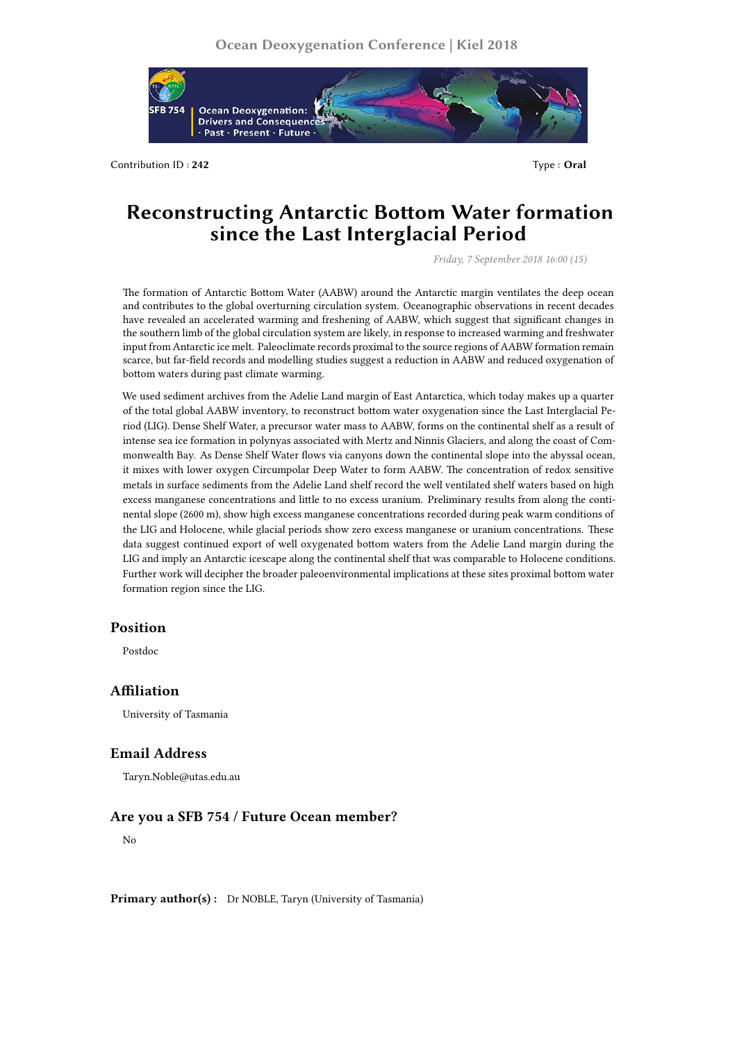

Contribution ID : **242** Type : **Oral**

# **Reconstructing Antarctic Bottom Water formation since the Last Interglacial Period**

*Friday, 7 September 2018 16:00 (15)*

The formation of Antarctic Bottom Water (AABW) around the Antarctic margin ventilates the deep ocean and contributes to the global overturning circulation system. Oceanographic observations in recent decades have revealed an accelerated warming and freshening of AABW, which suggest that significant changes in the southern limb of the global circulation system are likely, in response to increased warming and freshwater input from Antarctic ice melt. Paleoclimate records proximal to the source regions of AABW formation remain scarce, but far-field records and modelling studies suggest a reduction in AABW and reduced oxygenation of bottom waters during past climate warming.

We used sediment archives from the Adelie Land margin of East Antarctica, which today makes up a quarter of the total global AABW inventory, to reconstruct bottom water oxygenation since the Last Interglacial Period (LIG). Dense Shelf Water, a precursor water mass to AABW, forms on the continental shelf as a result of intense sea ice formation in polynyas associated with Mertz and Ninnis Glaciers, and along the coast of Commonwealth Bay. As Dense Shelf Water flows via canyons down the continental slope into the abyssal ocean, it mixes with lower oxygen Circumpolar Deep Water to form AABW. The concentration of redox sensitive metals in surface sediments from the Adelie Land shelf record the well ventilated shelf waters based on high excess manganese concentrations and little to no excess uranium. Preliminary results from along the continental slope (2600 m), show high excess manganese concentrations recorded during peak warm conditions of the LIG and Holocene, while glacial periods show zero excess manganese or uranium concentrations. These data suggest continued export of well oxygenated bottom waters from the Adelie Land margin during the LIG and imply an Antarctic icescape along the continental shelf that was comparable to Holocene conditions. Further work will decipher the broader paleoenvironmental implications at these sites proximal bottom water formation region since the LIG.

### **Position**

Postdoc

### **Affiliation**

University of Tasmania

## **Email Address**

Taryn.Noble@utas.edu.au

### **Are you a SFB 754 / Future Ocean member?**

No

Primary author(s): Dr NOBLE, Taryn (University of Tasmania)